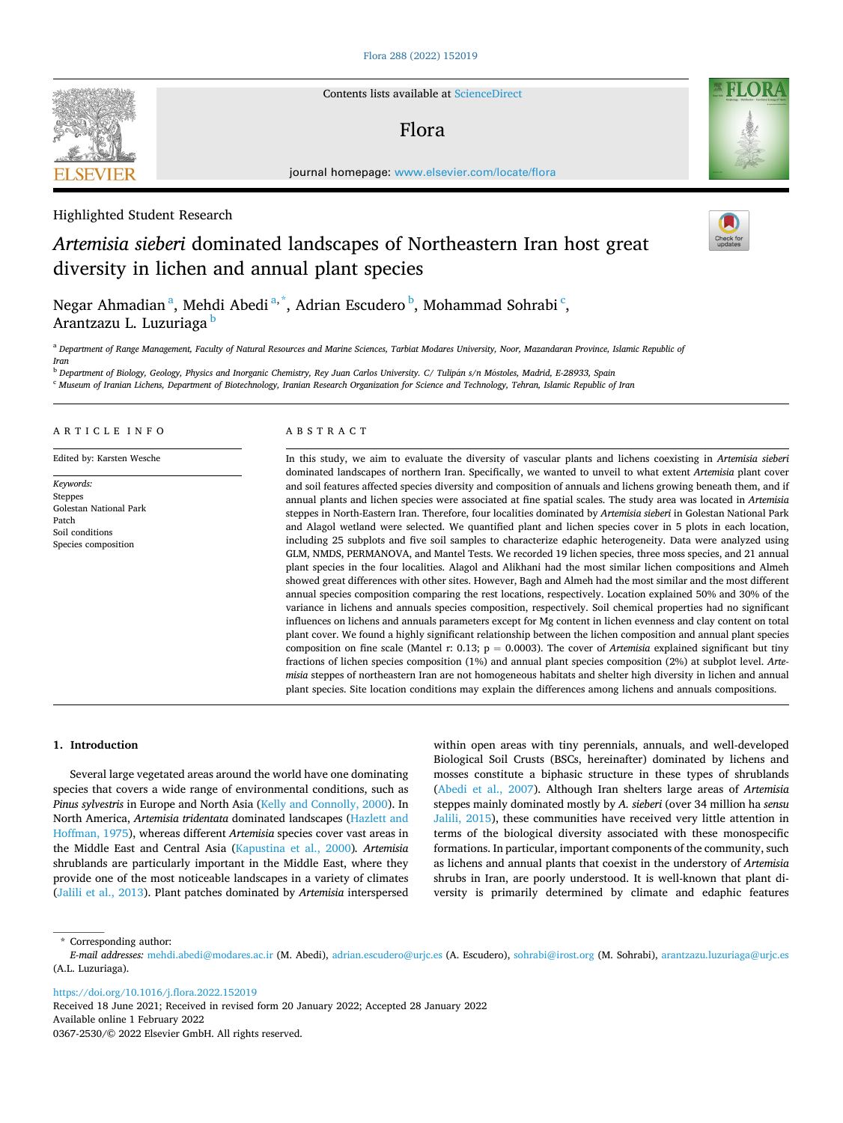**SEVIER** 

Contents lists available at [ScienceDirect](www.sciencedirect.com/science/journal/03672530)

## Flora



journal homepage: [www.elsevier.com/locate/flora](https://www.elsevier.com/locate/flora) 

## Highlighted Student Research

# *Artemisia sieberi* dominated landscapes of Northeastern Iran host great diversity in lichen and annual plant species

Negar Ahmadian<sup>a</sup>, Mehdi Abedi<sup>a,\*</sup>, Adrian Escudero <sup>b</sup>, Mohammad Sohrabi <sup>c</sup>, Arantzazu L. Luzuriaga <sup>b</sup>

<sup>a</sup> Department of Range Management, Faculty of Natural Resources and Marine Sciences, Tarbiat Modares University, Noor, Mazandaran Province, Islamic Republic of *Iran* 

<sup>b</sup> Department of Biology, Geology, Physics and Inorganic Chemistry, Rey Juan Carlos University. C/ Tulipán s/n Móstoles, Madrid, E-28933, Spain

<sup>c</sup> *Museum of Iranian Lichens, Department of Biotechnology, Iranian Research Organization for Science and Technology, Tehran, Islamic Republic of Iran* 

## ARTICLE INFO

Edited by: Karsten Wesche

*Keywords:*  Steppes Golestan National Park Patch Soil conditions Species composition

## ABSTRACT

In this study, we aim to evaluate the diversity of vascular plants and lichens coexisting in *Artemisia sieberi*  dominated landscapes of northern Iran. Specifically, we wanted to unveil to what extent *Artemisia* plant cover and soil features affected species diversity and composition of annuals and lichens growing beneath them, and if annual plants and lichen species were associated at fine spatial scales. The study area was located in *Artemisia*  steppes in North-Eastern Iran. Therefore, four localities dominated by *Artemisia sieberi* in Golestan National Park and Alagol wetland were selected. We quantified plant and lichen species cover in 5 plots in each location, including 25 subplots and five soil samples to characterize edaphic heterogeneity. Data were analyzed using GLM, NMDS, PERMANOVA, and Mantel Tests. We recorded 19 lichen species, three moss species, and 21 annual plant species in the four localities. Alagol and Alikhani had the most similar lichen compositions and Almeh showed great differences with other sites. However, Bagh and Almeh had the most similar and the most different annual species composition comparing the rest locations, respectively. Location explained 50% and 30% of the variance in lichens and annuals species composition, respectively. Soil chemical properties had no significant influences on lichens and annuals parameters except for Mg content in lichen evenness and clay content on total plant cover. We found a highly significant relationship between the lichen composition and annual plant species composition on fine scale (Mantel r: 0.13; p = 0.0003). The cover of *Artemisia* explained significant but tiny fractions of lichen species composition (1%) and annual plant species composition (2%) at subplot level. *Artemisia* steppes of northeastern Iran are not homogeneous habitats and shelter high diversity in lichen and annual plant species. Site location conditions may explain the differences among lichens and annuals compositions.

#### **1. Introduction**

Several large vegetated areas around the world have one dominating species that covers a wide range of environmental conditions, such as *Pinus sylvestris* in Europe and North Asia [\(Kelly and Connolly, 2000](#page-8-0)). In North America, *Artemisia tridentata* dominated landscapes ([Hazlett and](#page-8-0)  [Hoffman, 1975\)](#page-8-0), whereas different *Artemisia* species cover vast areas in the Middle East and Central Asia ([Kapustina et al., 2000](#page-8-0))*. Artemisia*  shrublands are particularly important in the Middle East, where they provide one of the most noticeable landscapes in a variety of climates ([Jalili et al., 2013\)](#page-8-0). Plant patches dominated by *Artemisia* interspersed

within open areas with tiny perennials, annuals, and well-developed Biological Soil Crusts (BSCs, hereinafter) dominated by lichens and mosses constitute a biphasic structure in these types of shrublands ([Abedi et al., 2007](#page-7-0)). Although Iran shelters large areas of *Artemisia*  steppes mainly dominated mostly by *A. sieberi* (over 34 million ha *sensu*  [Jalili, 2015](#page-8-0)), these communities have received very little attention in terms of the biological diversity associated with these monospecific formations. In particular, important components of the community, such as lichens and annual plants that coexist in the understory of *Artemisia*  shrubs in Iran, are poorly understood. It is well-known that plant diversity is primarily determined by climate and edaphic features

\* Corresponding author:

<https://doi.org/10.1016/j.flora.2022.152019>

Available online 1 February 2022 0367-2530/© 2022 Elsevier GmbH. All rights reserved. Received 18 June 2021; Received in revised form 20 January 2022; Accepted 28 January 2022

*E-mail addresses:* [mehdi.abedi@modares.ac.ir](mailto:mehdi.abedi@modares.ac.ir) (M. Abedi), [adrian.escudero@urjc.es](mailto:adrian.escudero@urjc.es) (A. Escudero), [sohrabi@irost.org](mailto:sohrabi@irost.org) (M. Sohrabi), [arantzazu.luzuriaga@urjc.es](mailto:arantzazu.luzuriaga@urjc.es)  (A.L. Luzuriaga).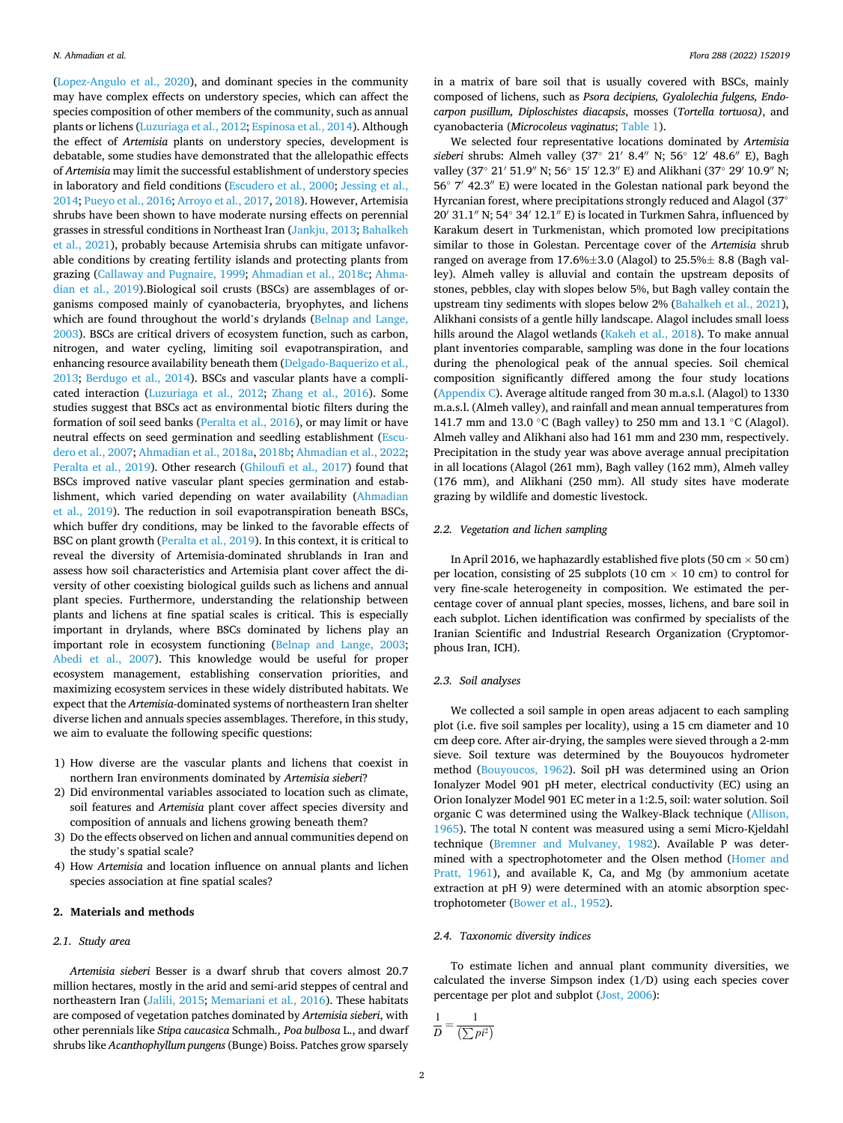([Lopez-Angulo et al., 2020](#page-8-0)), and dominant species in the community may have complex effects on understory species, which can affect the species composition of other members of the community, such as annual plants or lichens ([Luzuriaga et al., 2012](#page-8-0); [Espinosa et al., 2014](#page-8-0)). Although the effect of *Artemisia* plants on understory species, development is debatable, some studies have demonstrated that the allelopathic effects of *Artemisia* may limit the successful establishment of understory species in laboratory and field conditions ([Escudero et al., 2000](#page-7-0); [Jessing et al.,](#page-8-0)  [2014; Pueyo et al., 2016;](#page-8-0) [Arroyo et al., 2017](#page-7-0), [2018](#page-7-0)). However, Artemisia shrubs have been shown to have moderate nursing effects on perennial grasses in stressful conditions in Northeast Iran [\(Jankju, 2013;](#page-8-0) [Bahalkeh](#page-7-0)  [et al., 2021](#page-7-0)), probably because Artemisia shrubs can mitigate unfavorable conditions by creating fertility islands and protecting plants from grazing [\(Callaway and Pugnaire, 1999](#page-7-0); [Ahmadian et al., 2018c; Ahma](#page-7-0)[dian et al., 2019](#page-7-0)).Biological soil crusts (BSCs) are assemblages of organisms composed mainly of cyanobacteria, bryophytes, and lichens which are found throughout the world's drylands [\(Belnap and Lange,](#page-7-0)  [2003\)](#page-7-0). BSCs are critical drivers of ecosystem function, such as carbon, nitrogen, and water cycling, limiting soil evapotranspiration, and enhancing resource availability beneath them [\(Delgado-Baquerizo et al.,](#page-7-0)  [2013;](#page-7-0) [Berdugo et al., 2014\)](#page-7-0). BSCs and vascular plants have a complicated interaction [\(Luzuriaga et al., 2012](#page-8-0); [Zhang et al., 2016\)](#page-8-0). Some studies suggest that BSCs act as environmental biotic filters during the formation of soil seed banks ([Peralta et al., 2016\)](#page-8-0), or may limit or have neutral effects on seed germination and seedling establishment [\(Escu](#page-8-0)[dero et al., 2007](#page-8-0); [Ahmadian et al., 2018a](#page-7-0), [2018b; Ahmadian et al., 2022](#page-7-0); [Peralta et al., 2019](#page-8-0)). Other research ([Ghiloufi et al., 2017](#page-8-0)) found that BSCs improved native vascular plant species germination and establishment, which varied depending on water availability [\(Ahmadian](#page-7-0)  [et al., 2019\)](#page-7-0). The reduction in soil evapotranspiration beneath BSCs, which buffer dry conditions, may be linked to the favorable effects of BSC on plant growth [\(Peralta et al., 2019\)](#page-8-0). In this context, it is critical to reveal the diversity of Artemisia-dominated shrublands in Iran and assess how soil characteristics and Artemisia plant cover affect the diversity of other coexisting biological guilds such as lichens and annual plant species. Furthermore, understanding the relationship between plants and lichens at fine spatial scales is critical. This is especially important in drylands, where BSCs dominated by lichens play an important role in ecosystem functioning ([Belnap and Lange, 2003](#page-7-0); [Abedi et al., 2007](#page-7-0)). This knowledge would be useful for proper ecosystem management, establishing conservation priorities, and maximizing ecosystem services in these widely distributed habitats. We expect that the *Artemisia*-dominated systems of northeastern Iran shelter diverse lichen and annuals species assemblages. Therefore, in this study, we aim to evaluate the following specific questions:

- 1) How diverse are the vascular plants and lichens that coexist in northern Iran environments dominated by *Artemisia sieberi*?
- 2) Did environmental variables associated to location such as climate, soil features and *Artemisia* plant cover affect species diversity and composition of annuals and lichens growing beneath them?
- 3) Do the effects observed on lichen and annual communities depend on the study's spatial scale?
- 4) How *Artemisia* and location influence on annual plants and lichen species association at fine spatial scales?

#### **2. Materials and methods**

## *2.1. Study area*

*Artemisia sieberi* Besser is a dwarf shrub that covers almost 20.7 million hectares, mostly in the arid and semi-arid steppes of central and northeastern Iran [\(Jalili, 2015; Memariani et al., 2016](#page-8-0)). These habitats are composed of vegetation patches dominated by *Artemisia sieberi*, with other perennials like *Stipa caucasica* Schmalh*., Poa bulbosa* L., and dwarf shrubs like *Acanthophyllum pungens* (Bunge) Boiss. Patches grow sparsely

in a matrix of bare soil that is usually covered with BSCs, mainly composed of lichens, such as *Psora decipiens, Gyalolechia fulgens, Endocarpon pusillum, Diploschistes diacapsis*, mosses (*Tortella tortuosa)*, and cyanobacteria (*Microcoleus vaginatus*; [Table 1\)](#page-2-0).

We selected four representative locations dominated by *Artemisia sieberi* shrubs: Almeh valley (37◦ 21′ 8.4′′ N; 56◦ 12′ 48.6′′ E), Bagh valley (37◦ 21′ 51.9′′ N; 56◦ 15′ 12.3′′ E) and Alikhani (37◦ 29′ 10.9′′ N; 56◦ 7′ 42.3′′ E) were located in the Golestan national park beyond the Hyrcanian forest, where precipitations strongly reduced and Alagol (37◦ 20′ 31.1′′ N; 54◦ 34′ 12.1′′ E) is located in Turkmen Sahra, influenced by Karakum desert in Turkmenistan, which promoted low precipitations similar to those in Golestan. Percentage cover of the *Artemisia* shrub ranged on average from 17.6%±3.0 (Alagol) to 25.5%± 8.8 (Bagh valley). Almeh valley is alluvial and contain the upstream deposits of stones, pebbles, clay with slopes below 5%, but Bagh valley contain the upstream tiny sediments with slopes below 2% [\(Bahalkeh et al., 2021](#page-7-0)), Alikhani consists of a gentle hilly landscape. Alagol includes small loess hills around the Alagol wetlands ([Kakeh et al., 2018\)](#page-8-0). To make annual plant inventories comparable, sampling was done in the four locations during the phenological peak of the annual species. Soil chemical composition significantly differed among the four study locations ([Appendix C](#page-6-0)). Average altitude ranged from 30 m.a.s.l. (Alagol) to 1330 m.a.s.l. (Almeh valley), and rainfall and mean annual temperatures from 141.7 mm and 13.0 ◦C (Bagh valley) to 250 mm and 13.1 ◦C (Alagol). Almeh valley and Alikhani also had 161 mm and 230 mm, respectively. Precipitation in the study year was above average annual precipitation in all locations (Alagol (261 mm), Bagh valley (162 mm), Almeh valley (176 mm), and Alikhani (250 mm). All study sites have moderate grazing by wildlife and domestic livestock.

#### *2.2. Vegetation and lichen sampling*

In April 2016, we haphazardly established five plots (50 cm  $\times$  50 cm) per location, consisting of 25 subplots (10 cm  $\times$  10 cm) to control for very fine-scale heterogeneity in composition. We estimated the percentage cover of annual plant species, mosses, lichens, and bare soil in each subplot. Lichen identification was confirmed by specialists of the Iranian Scientific and Industrial Research Organization (Cryptomorphous Iran, ICH).

#### *2.3. Soil analyses*

We collected a soil sample in open areas adjacent to each sampling plot (i.e. five soil samples per locality), using a 15 cm diameter and 10 cm deep core. After air-drying, the samples were sieved through a 2-mm sieve. Soil texture was determined by the Bouyoucos hydrometer method [\(Bouyoucos, 1962\)](#page-7-0). Soil pH was determined using an Orion Ionalyzer Model 901 pH meter, electrical conductivity (EC) using an Orion Ionalyzer Model 901 EC meter in a 1:2.5, soil: water solution. Soil organic C was determined using the Walkey-Black technique ([Allison,](#page-7-0)  [1965\)](#page-7-0). The total N content was measured using a semi Micro-Kjeldahl technique ([Bremner and Mulvaney, 1982](#page-7-0)). Available P was determined with a spectrophotometer and the Olsen method [\(Homer and](#page-8-0)  [Pratt, 1961](#page-8-0)), and available K, Ca, and Mg (by ammonium acetate extraction at pH 9) were determined with an atomic absorption spectrophotometer ([Bower et al., 1952](#page-7-0)).

#### *2.4. Taxonomic diversity indices*

To estimate lichen and annual plant community diversities, we calculated the inverse Simpson index (1/D) using each species cover percentage per plot and subplot [\(Jost, 2006](#page-8-0)):

$$
\frac{1}{D} = \frac{1}{\left(\sum p i^2\right)}
$$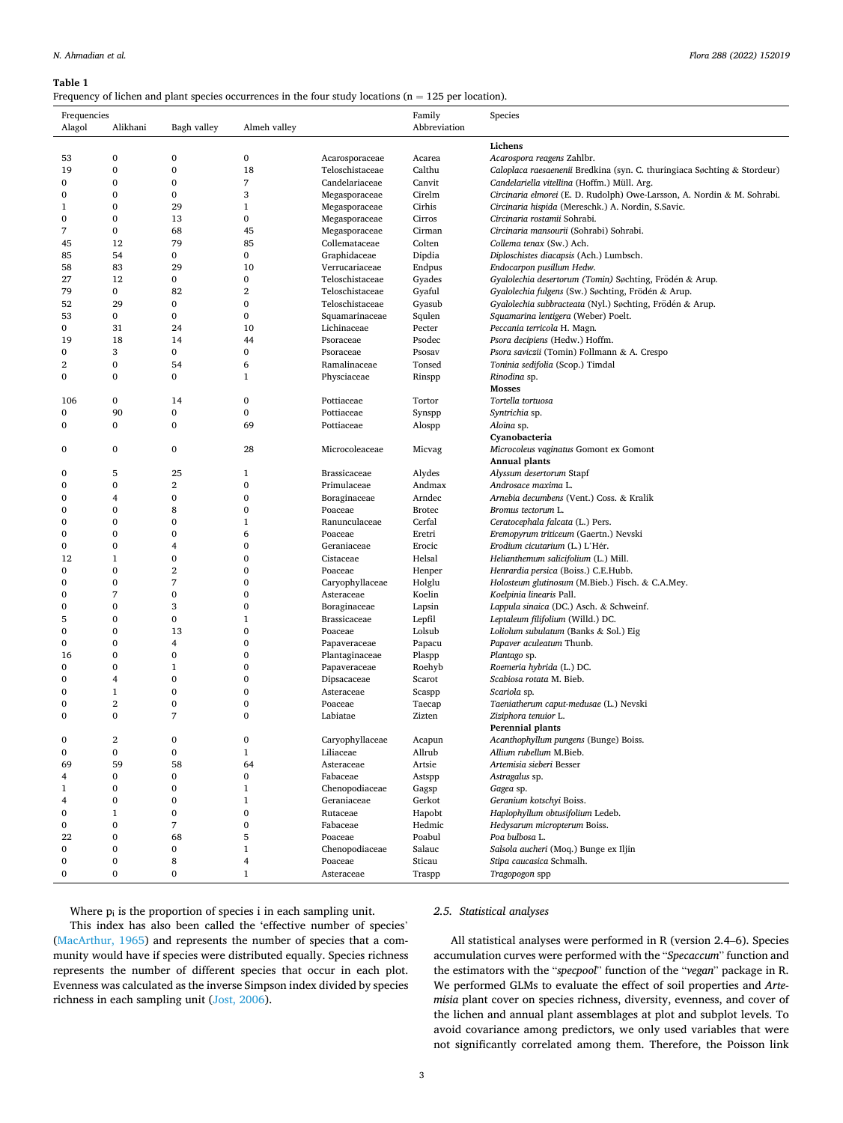### <span id="page-2-0"></span>**Table 1**

Frequency of lichen and plant species occurrences in the four study locations ( $n = 125$  per location).

| Frequencies      |                   |                  |                      |                                    | Family           | Species                                                                                         |
|------------------|-------------------|------------------|----------------------|------------------------------------|------------------|-------------------------------------------------------------------------------------------------|
| Alagol           | Alikhani          | Bagh valley      | Almeh valley         |                                    | Abbreviation     |                                                                                                 |
|                  |                   |                  |                      |                                    |                  | Lichens                                                                                         |
| 53               | 0                 | 0                | 0                    | Acarosporaceae                     | Acarea           | Acarospora reagens Zahlbr.                                                                      |
| 19               | $\bf{0}$          | $\bf{0}$         | 18                   | Teloschistaceae                    | Calthu           | Caloplaca raesaenenii Bredkina (syn. C. thuringiaca Søchting & Stordeur)                        |
| 0                | 0                 | $\bf{0}$         | 7                    | Candelariaceae                     | Canvit           | Candelariella vitellina (Hoffm.) Müll. Arg.                                                     |
| $\bf{0}$         | $\bf{0}$          | $\mathbf{0}$     | 3                    | Megasporaceae                      | Cirelm           | Circinaria elmorei (E. D. Rudolph) Owe-Larsson, A. Nordin & M. Sohrabi.                         |
| $\mathbf{1}$     | $\mathbf{0}$      | 29               | $\mathbf{1}$         | Megasporaceae                      | Cirhis           | Circinaria hispida (Mereschk.) A. Nordin, S.Savic.                                              |
| $\bf{0}$         | 0                 | 13               | 0                    | Megasporaceae                      | Cirros           | Circinaria rostamii Sohrabi.                                                                    |
| 7                | 0                 | 68               | 45                   | Megasporaceae                      | Cirman           | Circinaria mansourii (Sohrabi) Sohrabi.                                                         |
| 45               | 12                | 79               | 85                   | Collemataceae                      | Colten           | Collema tenax (Sw.) Ach.                                                                        |
| 85               | 54                | $\bf{0}$         | 0                    | Graphidaceae                       | Dipdia           | Diploschistes diacapsis (Ach.) Lumbsch.                                                         |
| 58               | 83                | 29               | 10                   | Verrucariaceae                     | Endpus           | Endocarpon pusillum Hedw.                                                                       |
| 27<br>79         | 12<br>0           | $\bf{0}$<br>82   | 0<br>$\overline{2}$  | Teloschistaceae                    | Gyades           | Gyalolechia desertorum (Tomin) Søchting, Frödén & Arup.                                         |
| 52               | 29                | 0                | 0                    | Teloschistaceae<br>Teloschistaceae | Gyaful           | Gyalolechia fulgens (Sw.) Søchting, Frödén & Arup.                                              |
| 53               | 0                 | $\bf{0}$         | 0                    | Squamarinaceae                     | Gyasub<br>Squlen | Gyalolechia subbracteata (Nyl.) Søchting, Frödén & Arup.<br>Squamarina lentigera (Weber) Poelt. |
| $\bf{0}$         | 31                | 24               | 10                   | Lichinaceae                        | Pecter           | Peccania terricola H. Magn.                                                                     |
| 19               | 18                | 14               | 44                   | Psoraceae                          | Psodec           | Psora decipiens (Hedw.) Hoffm.                                                                  |
| 0                | 3                 | $\bf{0}$         | 0                    | Psoraceae                          | Psosav           | Psora saviczii (Tomin) Follmann & A. Crespo                                                     |
| 2                | 0                 | 54               | 6                    | Ramalinaceae                       | Tonsed           | Toninia sedifolia (Scop.) Timdal                                                                |
| $\bf{0}$         | $\mathbf{0}$      | $\mathbf{0}$     | $\mathbf{1}$         | Physciaceae                        | Rinspp           | Rinodina sp.                                                                                    |
|                  |                   |                  |                      |                                    |                  | <b>Mosses</b>                                                                                   |
| 106              | 0                 | 14               | 0                    | Pottiaceae                         | Tortor           | Tortella tortuosa                                                                               |
| $\overline{0}$   | 90                | $\bf{0}$         | $\bf{0}$             | Pottiaceae                         | Synspp           | Syntrichia sp.                                                                                  |
| $\bf{0}$         | $\mathbf{0}$      | $\mathbf{0}$     | 69                   | Pottiaceae                         | Alospp           | Aloina sp.                                                                                      |
|                  |                   |                  |                      |                                    |                  | Cyanobacteria                                                                                   |
| 0                | 0                 | $\bf{0}$         | 28                   | Microcoleaceae                     | Micvag           | Microcoleus vaginatus Gomont ex Gomont                                                          |
|                  |                   |                  |                      |                                    |                  | <b>Annual plants</b>                                                                            |
| $\bf{0}$         | 5                 | 25               | $\mathbf{1}$         | <b>Brassicaceae</b>                | Alydes           | Alyssum desertorum Stapf                                                                        |
| 0                | 0                 | $\overline{2}$   | $\mathbf{0}$         | Primulaceae                        | Andmax           | Androsace maxima L.                                                                             |
| $\bf{0}$         | 4                 | $\mathbf{0}$     | $\bf{0}$             | Boraginaceae                       | Arndec           | Arnebia decumbens (Vent.) Coss. & Kralik                                                        |
| $\bf{0}$         | 0                 | 8                | $\bf{0}$             | Poaceae                            | <b>Brotec</b>    | Bromus tectorum L.                                                                              |
| $\bf{0}$         | $\mathbf{0}$      | $\mathbf{0}$     | $\mathbf{1}$         | Ranunculaceae                      | Cerfal           | Ceratocephala falcata (L.) Pers.                                                                |
| $\bf{0}$         | $\mathbf{0}$      | $\mathbf{0}$     | 6                    | Poaceae                            | Eretri           | Eremopyrum triticeum (Gaertn.) Nevski                                                           |
| $\bf{0}$         | $\mathbf{0}$      | 4                | $\bf{0}$             | Geraniaceae                        | Erocic           | Erodium cicutarium (L.) L'Hér.                                                                  |
| 12               | $\mathbf{1}$      | $\mathbf{0}$     | 0                    | Cistaceae                          | Helsal           | Helianthemum salicifolium (L.) Mill.                                                            |
| $\mathbf{0}$     | $\mathbf{0}$      | $\overline{2}$   | 0                    | Poaceae                            | Henper           | Henrardia persica (Boiss.) C.E.Hubb.                                                            |
| $\bf{0}$         | $\mathbf{0}$      | $\overline{7}$   | $\overline{0}$       | Caryophyllaceae                    | Holglu           | Holosteum glutinosum (M.Bieb.) Fisch. & C.A.Mey.                                                |
| $\bf{0}$         | 7<br>$\mathbf{0}$ | $\bf{0}$<br>3    | $\bf{0}$<br>$\bf{0}$ | Asteraceae                         | Koelin           | Koelpinia linearis Pall.                                                                        |
| $\bf{0}$<br>5    | $\mathbf{0}$      | $\mathbf{0}$     | $\mathbf{1}$         | Boraginaceae                       | Lapsin           | Lappula sinaica (DC.) Asch. & Schweinf.                                                         |
| $\mathbf 0$      | $\mathbf{0}$      | 13               | $\bf{0}$             | <b>Brassicaceae</b><br>Poaceae     | Lepfil<br>Lolsub | Leptaleum filifolium (Willd.) DC.                                                               |
| $\bf{0}$         | 0                 | 4                | $\bf{0}$             | Papaveraceae                       | Papacu           | Loliolum subulatum (Banks & Sol.) Eig<br>Papaver aculeatum Thunb.                               |
| 16               | $\mathbf{0}$      | $\mathbf{0}$     | 0                    | Plantaginaceae                     | Plaspp           | Plantago sp.                                                                                    |
| $\bf{0}$         | $\mathbf{0}$      | $\mathbf{1}$     | $\overline{0}$       | Papaveraceae                       | Roehyb           | Roemeria hybrida (L.) DC.                                                                       |
| $\bf{0}$         | 4                 | $\bf{0}$         | $\bf{0}$             | Dipsacaceae                        | Scarot           | Scabiosa rotata M. Bieb.                                                                        |
| $\bf{0}$         | $\mathbf{1}$      | $\bf{0}$         | $\bf{0}$             | Asteraceae                         | Scaspp           | Scariola sp.                                                                                    |
| $\bf{0}$         | $\overline{2}$    | $\bf{0}$         | $\bf{0}$             | Poaceae                            | Taecap           | Taeniatherum caput-medusae (L.) Nevski                                                          |
| $\mathbf 0$      | $\mathbf{0}$      | $\overline{7}$   | $\overline{0}$       | Labiatae                           | Zizten           | Ziziphora tenuior L.                                                                            |
|                  |                   |                  |                      |                                    |                  | <b>Perennial plants</b>                                                                         |
| 0                | $\overline{2}$    | $\bf{0}$         | $\mathbf{0}$         | Caryophyllaceae                    | Acapun           | Acanthophyllum pungens (Bunge) Boiss.                                                           |
| $\boldsymbol{0}$ | $\bf{0}$          | $\boldsymbol{0}$ | $\mathbf{1}$         | Liliaceae                          | Allrub           | Allium rubellum M.Bieb.                                                                         |
| 69               | 59                | 58               | 64                   | Asteraceae                         | Artsie           | Artemisia sieberi Besser                                                                        |
| 4                | 0                 | $\bf{0}$         | 0                    | Fabaceae                           | Astspp           | Astragalus sp.                                                                                  |
| $\mathbf{1}$     | 0                 | 0                | $\mathbf{1}$         | Chenopodiaceae                     | Gagsp            | Gagea sp.                                                                                       |
| 4                | 0                 | $\bf{0}$         | $\mathbf{1}$         | Geraniaceae                        | Gerkot           | Geranium kotschyi Boiss.                                                                        |
| $\bf{0}$         | $\mathbf{1}$      | $\bf{0}$         | 0                    | Rutaceae                           | Hapobt           | Haplophyllum obtusifolium Ledeb.                                                                |
| $\bf{0}$         | 0                 | 7                | 0                    | Fabaceae                           | Hedmic           | Hedysarum micropterum Boiss.                                                                    |
| 22               | 0                 | 68               | 5                    | Poaceae                            | Poabul           | Poa bulbosa L.                                                                                  |
| $\bf{0}$         | 0                 | $\bf{0}$         | $\mathbf{1}$         | Chenopodiaceae                     | Salauc           | Salsola aucheri (Moq.) Bunge ex Iljin                                                           |
| $\bf{0}$         | 0                 | 8                | 4                    | Poaceae                            | Sticau           | Stipa caucasica Schmalh.                                                                        |
| $\boldsymbol{0}$ | 0                 | $\bf{0}$         | $\mathbf{1}$         | Asteraceae                         | Traspp           | Tragopogon spp                                                                                  |

Where  $p_i$  is the proportion of species i in each sampling unit. This index has also been called the 'effective number of species' ([MacArthur, 1965](#page-8-0)) and represents the number of species that a community would have if species were distributed equally. Species richness represents the number of different species that occur in each plot. Evenness was calculated as the inverse Simpson index divided by species richness in each sampling unit [\(Jost, 2006](#page-8-0)).

## *2.5. Statistical analyses*

All statistical analyses were performed in R (version 2.4–6). Species accumulation curves were performed with the "*Specaccum*" function and the estimators with the "*specpool*" function of the "*vegan*" package in R. We performed GLMs to evaluate the effect of soil properties and *Artemisia* plant cover on species richness, diversity, evenness, and cover of the lichen and annual plant assemblages at plot and subplot levels. To avoid covariance among predictors, we only used variables that were not significantly correlated among them. Therefore, the Poisson link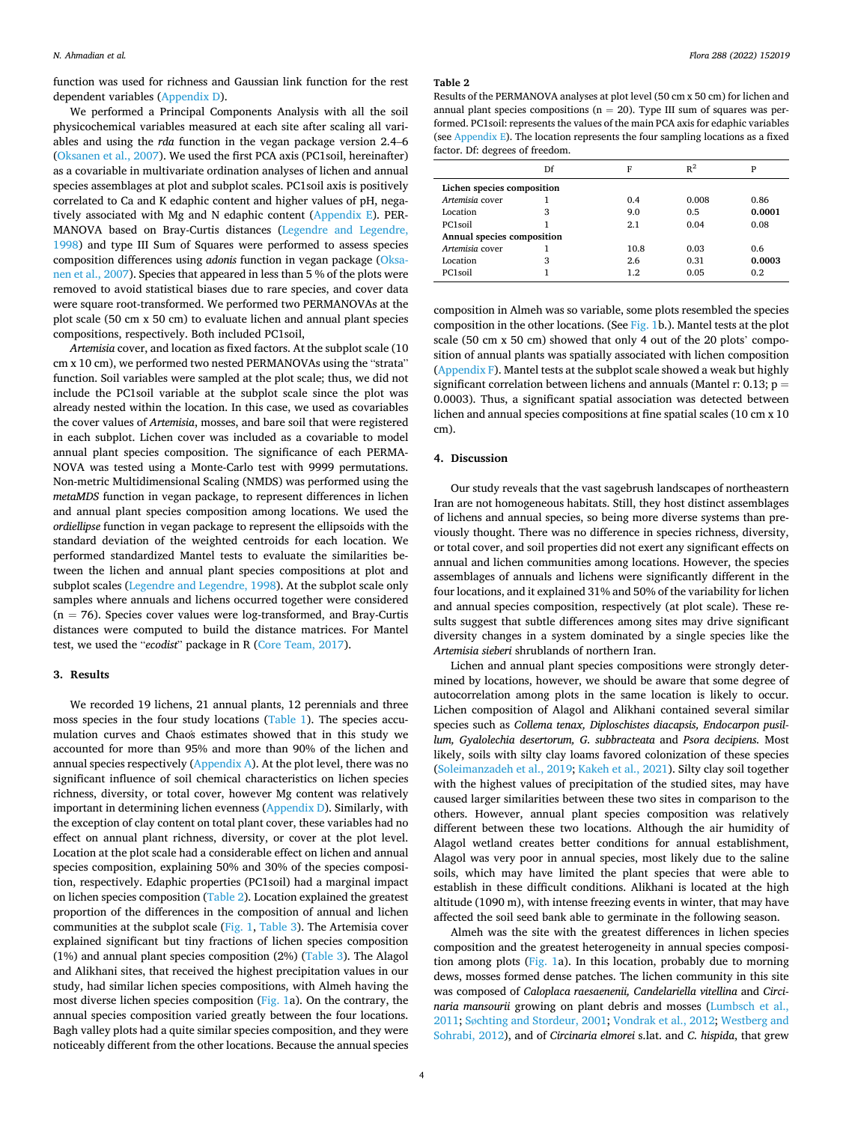<span id="page-3-0"></span>function was used for richness and Gaussian link function for the rest dependent variables [\(Appendix D\)](#page-6-0).

We performed a Principal Components Analysis with all the soil physicochemical variables measured at each site after scaling all variables and using the *rda* function in the vegan package version 2.4–6 ([Oksanen et al., 2007](#page-8-0)). We used the first PCA axis (PC1soil, hereinafter) as a covariable in multivariate ordination analyses of lichen and annual species assemblages at plot and subplot scales. PC1soil axis is positively correlated to Ca and K edaphic content and higher values of pH, negatively associated with Mg and N edaphic content ([Appendix E](#page-6-0)). PER-MANOVA based on Bray-Curtis distances [\(Legendre and Legendre,](#page-8-0)  [1998\)](#page-8-0) and type III Sum of Squares were performed to assess species composition differences using *adonis* function in vegan package ([Oksa](#page-8-0)[nen et al., 2007](#page-8-0)). Species that appeared in less than 5 % of the plots were removed to avoid statistical biases due to rare species, and cover data were square root-transformed. We performed two PERMANOVAs at the plot scale (50 cm x 50 cm) to evaluate lichen and annual plant species compositions, respectively. Both included PC1soil,

*Artemisia* cover, and location as fixed factors. At the subplot scale (10 cm x 10 cm), we performed two nested PERMANOVAs using the "strata" function. Soil variables were sampled at the plot scale; thus, we did not include the PC1soil variable at the subplot scale since the plot was already nested within the location. In this case, we used as covariables the cover values of *Artemisia*, mosses, and bare soil that were registered in each subplot. Lichen cover was included as a covariable to model annual plant species composition. The significance of each PERMA-NOVA was tested using a Monte-Carlo test with 9999 permutations. Non-metric Multidimensional Scaling (NMDS) was performed using the *metaMDS* function in vegan package, to represent differences in lichen and annual plant species composition among locations. We used the *ordiellipse* function in vegan package to represent the ellipsoids with the standard deviation of the weighted centroids for each location. We performed standardized Mantel tests to evaluate the similarities between the lichen and annual plant species compositions at plot and subplot scales [\(Legendre and Legendre, 1998](#page-8-0)). At the subplot scale only samples where annuals and lichens occurred together were considered  $(n = 76)$ . Species cover values were log-transformed, and Bray-Curtis distances were computed to build the distance matrices. For Mantel test, we used the "*ecodist*" package in R [\(Core Team, 2017](#page-7-0)).

## **3. Results**

We recorded 19 lichens, 21 annual plants, 12 perennials and three moss species in the four study locations ([Table 1\)](#page-2-0). The species accumulation curves and Chao´s estimates showed that in this study we accounted for more than 95% and more than 90% of the lichen and annual species respectively [\(Appendix A\)](#page-5-0). At the plot level, there was no significant influence of soil chemical characteristics on lichen species richness, diversity, or total cover, however Mg content was relatively important in determining lichen evenness [\(Appendix D](#page-6-0)). Similarly, with the exception of clay content on total plant cover, these variables had no effect on annual plant richness, diversity, or cover at the plot level. Location at the plot scale had a considerable effect on lichen and annual species composition, explaining 50% and 30% of the species composition, respectively. Edaphic properties (PC1soil) had a marginal impact on lichen species composition (Table 2). Location explained the greatest proportion of the differences in the composition of annual and lichen communities at the subplot scale ([Fig. 1, Table 3\)](#page-4-0). The Artemisia cover explained significant but tiny fractions of lichen species composition (1%) and annual plant species composition (2%) ([Table 3](#page-4-0)). The Alagol and Alikhani sites, that received the highest precipitation values in our study, had similar lichen species compositions, with Almeh having the most diverse lichen species composition ([Fig. 1a](#page-4-0)). On the contrary, the annual species composition varied greatly between the four locations. Bagh valley plots had a quite similar species composition, and they were noticeably different from the other locations. Because the annual species

#### **Table 2**

Results of the PERMANOVA analyses at plot level (50 cm x 50 cm) for lichen and annual plant species compositions ( $n = 20$ ). Type III sum of squares was performed. PC1soil: represents the values of the main PCA axis for edaphic variables (see [Appendix E\)](#page-6-0). The location represents the four sampling locations as a fixed factor. Df: degrees of freedom.

|                            | Df | F    | $R^2$ | P      |  |  |  |
|----------------------------|----|------|-------|--------|--|--|--|
| Lichen species composition |    |      |       |        |  |  |  |
| Artemisia cover            |    | 0.4  | 0.008 | 0.86   |  |  |  |
| Location                   | 3  | 9.0  | 0.5   | 0.0001 |  |  |  |
| PC <sub>1</sub> soil       |    | 2.1  | 0.04  | 0.08   |  |  |  |
| Annual species composition |    |      |       |        |  |  |  |
| Artemisia cover            |    | 10.8 | 0.03  | 0.6    |  |  |  |
| Location                   | 3  | 2.6  | 0.31  | 0.0003 |  |  |  |
| PC1soil                    |    | 1.2  | 0.05  | 0.2    |  |  |  |

composition in Almeh was so variable, some plots resembled the species composition in the other locations. (See [Fig. 1](#page-4-0)b.). Mantel tests at the plot scale (50 cm x 50 cm) showed that only 4 out of the 20 plots' composition of annual plants was spatially associated with lichen composition ([Appendix F](#page-7-0)). Mantel tests at the subplot scale showed a weak but highly significant correlation between lichens and annuals (Mantel r: 0.13;  $p =$ 0.0003). Thus, a significant spatial association was detected between lichen and annual species compositions at fine spatial scales (10 cm x 10 cm).

#### **4. Discussion**

Our study reveals that the vast sagebrush landscapes of northeastern Iran are not homogeneous habitats. Still, they host distinct assemblages of lichens and annual species, so being more diverse systems than previously thought. There was no difference in species richness, diversity, or total cover, and soil properties did not exert any significant effects on annual and lichen communities among locations. However, the species assemblages of annuals and lichens were significantly different in the four locations, and it explained 31% and 50% of the variability for lichen and annual species composition, respectively (at plot scale). These results suggest that subtle differences among sites may drive significant diversity changes in a system dominated by a single species like the *Artemisia sieberi* shrublands of northern Iran.

Lichen and annual plant species compositions were strongly determined by locations, however, we should be aware that some degree of autocorrelation among plots in the same location is likely to occur. Lichen composition of Alagol and Alikhani contained several similar species such as *Collema tenax, Diploschistes diacapsis, Endocarpon pusillum, Gyalolechia desertorum, G. subbracteata* and *Psora decipiens.* Most likely, soils with silty clay loams favored colonization of these species ([Soleimanzadeh et al., 2019](#page-8-0); [Kakeh et al., 2021](#page-8-0)). Silty clay soil together with the highest values of precipitation of the studied sites, may have caused larger similarities between these two sites in comparison to the others. However, annual plant species composition was relatively different between these two locations. Although the air humidity of Alagol wetland creates better conditions for annual establishment, Alagol was very poor in annual species, most likely due to the saline soils, which may have limited the plant species that were able to establish in these difficult conditions. Alikhani is located at the high altitude (1090 m), with intense freezing events in winter, that may have affected the soil seed bank able to germinate in the following season.

Almeh was the site with the greatest differences in lichen species composition and the greatest heterogeneity in annual species composition among plots ([Fig. 1a](#page-4-0)). In this location, probably due to morning dews, mosses formed dense patches. The lichen community in this site was composed of *Caloplaca raesaenenii, Candelariella vitellina* and *Circinaria mansourii* growing on plant debris and mosses [\(Lumbsch et al.,](#page-8-0)  [2011;](#page-8-0) Sø[chting and Stordeur, 2001](#page-8-0); [Vondrak et al., 2012](#page-8-0); [Westberg and](#page-8-0)  [Sohrabi, 2012](#page-8-0)), and of *Circinaria elmorei* s.lat. and *C. hispida*, that grew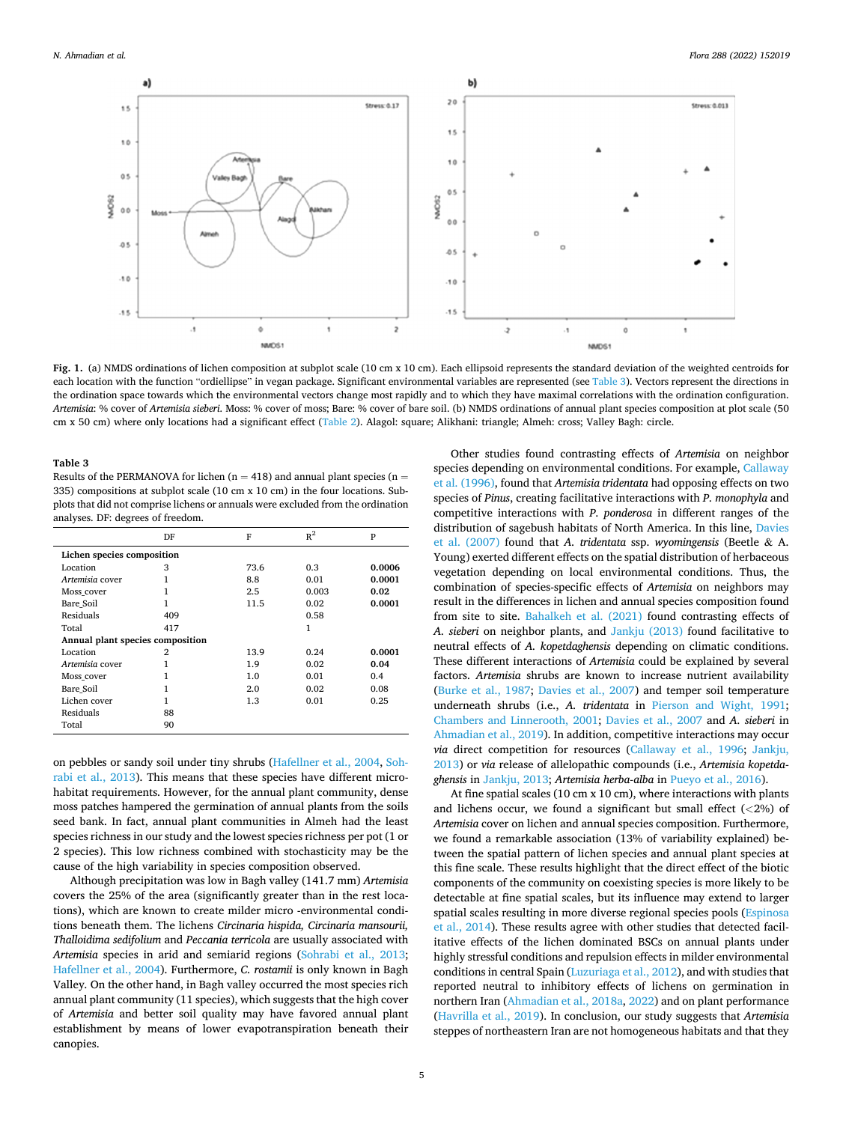<span id="page-4-0"></span>

**Fig. 1.** (a) NMDS ordinations of lichen composition at subplot scale (10 cm x 10 cm). Each ellipsoid represents the standard deviation of the weighted centroids for each location with the function "ordiellipse" in vegan package. Significant environmental variables are represented (see Table 3). Vectors represent the directions in the ordination space towards which the environmental vectors change most rapidly and to which they have maximal correlations with the ordination configuration. *Artemisia*: % cover of *Artemisia sieberi*. Moss: % cover of moss; Bare: % cover of bare soil. (b) NMDS ordinations of annual plant species composition at plot scale (50 cm x 50 cm) where only locations had a significant effect ([Table 2\)](#page-3-0). Alagol: square; Alikhani: triangle; Almeh: cross; Valley Bagh: circle.

#### **Table 3**

Results of the PERMANOVA for lichen ( $n = 418$ ) and annual plant species ( $n =$ 335) compositions at subplot scale (10 cm x 10 cm) in the four locations. Subplots that did not comprise lichens or annuals were excluded from the ordination analyses. DF: degrees of freedom.

|                                  | DF  | F    | $R^2$ | P      |  |  |  |
|----------------------------------|-----|------|-------|--------|--|--|--|
| Lichen species composition       |     |      |       |        |  |  |  |
| Location                         | 3   | 73.6 | 0.3   | 0.0006 |  |  |  |
| Artemisia cover                  | 1   | 8.8  | 0.01  | 0.0001 |  |  |  |
| Moss cover                       |     | 2.5  | 0.003 | 0.02   |  |  |  |
| Bare Soil                        | 1   | 11.5 | 0.02  | 0.0001 |  |  |  |
| Residuals                        | 409 |      | 0.58  |        |  |  |  |
| Total                            | 417 |      | 1     |        |  |  |  |
| Annual plant species composition |     |      |       |        |  |  |  |
| Location                         | 2   | 13.9 | 0.24  | 0.0001 |  |  |  |
| Artemisia cover                  | 1   | 1.9  | 0.02  | 0.04   |  |  |  |
| Moss cover                       |     | 1.0  | 0.01  | 0.4    |  |  |  |
| Bare Soil                        | 1   | 2.0  | 0.02  | 0.08   |  |  |  |
| Lichen cover                     |     | 1.3  | 0.01  | 0.25   |  |  |  |
| Residuals                        | 88  |      |       |        |  |  |  |
| Total                            | 90  |      |       |        |  |  |  |

on pebbles or sandy soil under tiny shrubs ([Hafellner et al., 2004](#page-8-0), [Soh](#page-8-0)[rabi et al., 2013\)](#page-8-0). This means that these species have different microhabitat requirements. However, for the annual plant community, dense moss patches hampered the germination of annual plants from the soils seed bank. In fact, annual plant communities in Almeh had the least species richness in our study and the lowest species richness per pot (1 or 2 species). This low richness combined with stochasticity may be the cause of the high variability in species composition observed.

Although precipitation was low in Bagh valley (141.7 mm) *Artemisia*  covers the 25% of the area (significantly greater than in the rest locations), which are known to create milder micro -environmental conditions beneath them. The lichens *Circinaria hispida, Circinaria mansourii, Thalloidima sedifolium* and *Peccania terricola* are usually associated with *Artemisia* species in arid and semiarid regions ([Sohrabi et al., 2013](#page-8-0); [Hafellner et al., 2004](#page-8-0)). Furthermore, *C. rostamii* is only known in Bagh Valley*.* On the other hand, in Bagh valley occurred the most species rich annual plant community (11 species), which suggests that the high cover of *Artemisia* and better soil quality may have favored annual plant establishment by means of lower evapotranspiration beneath their canopies.

Other studies found contrasting effects of *Artemisia* on neighbor species depending on environmental conditions. For example, [Callaway](#page-7-0)  [et al. \(1996\),](#page-7-0) found that *Artemisia tridentata* had opposing effects on two species of *Pinus*, creating facilitative interactions with *P. monophyla* and competitive interactions with *P. ponderosa* in different ranges of the distribution of sagebush habitats of North America. In this line, [Davies](#page-7-0)  [et al. \(2007\)](#page-7-0) found that *A. tridentata* ssp. *wyomingensis* (Beetle & A. Young) exerted different effects on the spatial distribution of herbaceous vegetation depending on local environmental conditions. Thus, the combination of species-specific effects of *Artemisia* on neighbors may result in the differences in lichen and annual species composition found from site to site. [Bahalkeh et al. \(2021\)](#page-7-0) found contrasting effects of *A. sieberi* on neighbor plants, and [Jankju \(2013\)](#page-8-0) found facilitative to neutral effects of *A. kopetdaghensis* depending on climatic conditions. These different interactions of *Artemisia* could be explained by several factors. *Artemisia* shrubs are known to increase nutrient availability ([Burke et al., 1987](#page-7-0); [Davies et al., 2007\)](#page-7-0) and temper soil temperature underneath shrubs (i.e., *A. tridentata* in [Pierson and Wight, 1991](#page-8-0); [Chambers and Linnerooth, 2001;](#page-7-0) [Davies et al., 2007](#page-7-0) and *A. sieberi* in [Ahmadian et al., 2019](#page-7-0)). In addition, competitive interactions may occur *via* direct competition for resources ([Callaway et al., 1996;](#page-7-0) [Jankju,](#page-8-0)  [2013\)](#page-8-0) or *via* release of allelopathic compounds (i.e., *Artemisia kopetdaghensis* in [Jankju, 2013;](#page-8-0) *Artemisia herba-alba* in [Pueyo et al., 2016](#page-8-0)).

At fine spatial scales (10 cm x 10 cm), where interactions with plants and lichens occur, we found a significant but small effect (*<*2%) of *Artemisia* cover on lichen and annual species composition. Furthermore, we found a remarkable association (13% of variability explained) between the spatial pattern of lichen species and annual plant species at this fine scale. These results highlight that the direct effect of the biotic components of the community on coexisting species is more likely to be detectable at fine spatial scales, but its influence may extend to larger spatial scales resulting in more diverse regional species pools ([Espinosa](#page-8-0)  [et al., 2014\)](#page-8-0). These results agree with other studies that detected facilitative effects of the lichen dominated BSCs on annual plants under highly stressful conditions and repulsion effects in milder environmental conditions in central Spain ([Luzuriaga et al., 2012\)](#page-8-0), and with studies that reported neutral to inhibitory effects of lichens on germination in northern Iran ([Ahmadian et al., 2018a](#page-7-0), [2022](#page-7-0)) and on plant performance ([Havrilla et al., 2019](#page-8-0)). In conclusion, our study suggests that *Artemisia*  steppes of northeastern Iran are not homogeneous habitats and that they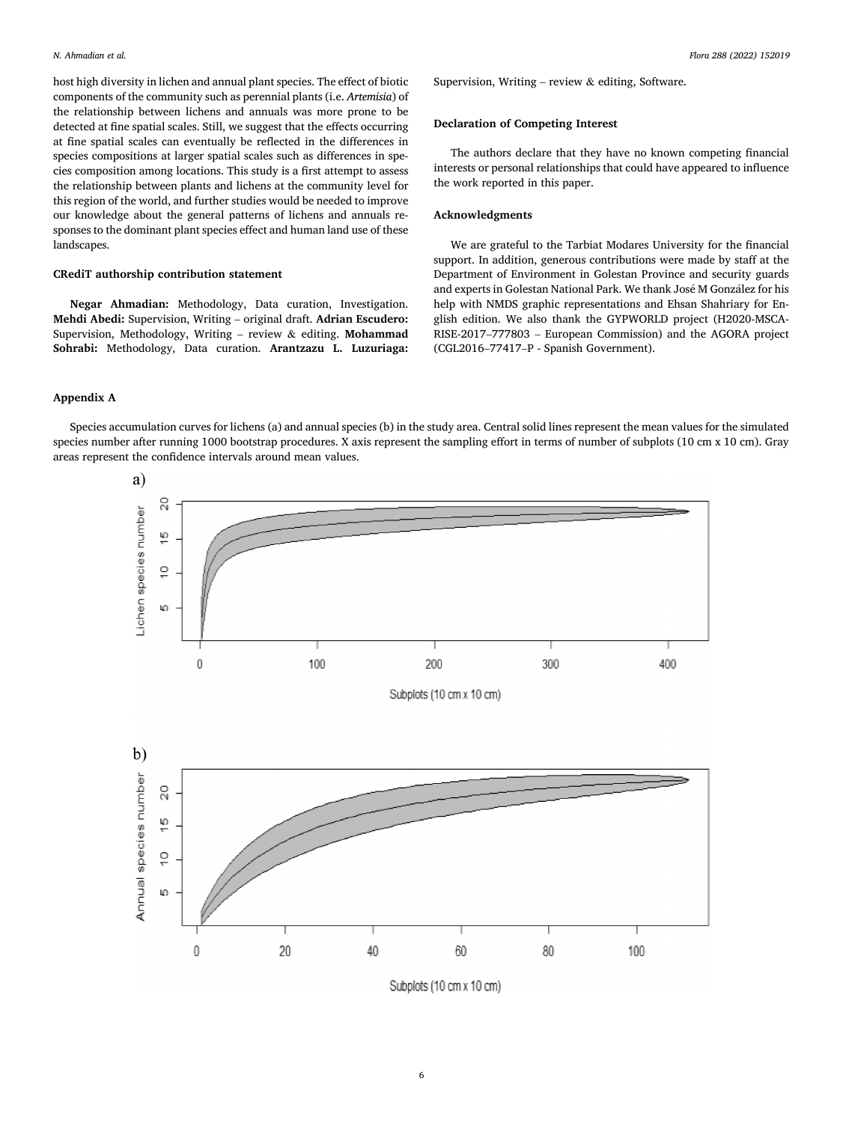<span id="page-5-0"></span>host high diversity in lichen and annual plant species. The effect of biotic components of the community such as perennial plants (i.e. *Artemisia*) of the relationship between lichens and annuals was more prone to be detected at fine spatial scales. Still, we suggest that the effects occurring at fine spatial scales can eventually be reflected in the differences in species compositions at larger spatial scales such as differences in species composition among locations. This study is a first attempt to assess the relationship between plants and lichens at the community level for this region of the world, and further studies would be needed to improve our knowledge about the general patterns of lichens and annuals responses to the dominant plant species effect and human land use of these landscapes.

#### **CRediT authorship contribution statement**

**Negar Ahmadian:** Methodology, Data curation, Investigation. **Mehdi Abedi:** Supervision, Writing – original draft. **Adrian Escudero:**  Supervision, Methodology, Writing – review & editing. **Mohammad Sohrabi:** Methodology, Data curation. **Arantzazu L. Luzuriaga:**  Supervision, Writing – review  $\&$  editing, Software.

## **Declaration of Competing Interest**

The authors declare that they have no known competing financial interests or personal relationships that could have appeared to influence the work reported in this paper.

## **Acknowledgments**

We are grateful to the Tarbiat Modares University for the financial support. In addition, generous contributions were made by staff at the Department of Environment in Golestan Province and security guards and experts in Golestan National Park. We thank José M González for his help with NMDS graphic representations and Ehsan Shahriary for English edition. We also thank the GYPWORLD project (H2020-MSCA-RISE-2017–777803 – European Commission) and the AGORA project (CGL2016–77417–P - Spanish Government).

## **Appendix A**

Species accumulation curves for lichens (a) and annual species (b) in the study area. Central solid lines represent the mean values for the simulated species number after running 1000 bootstrap procedures. X axis represent the sampling effort in terms of number of subplots (10 cm x 10 cm). Gray areas represent the confidence intervals around mean values.



Subplots (10 cm x 10 cm)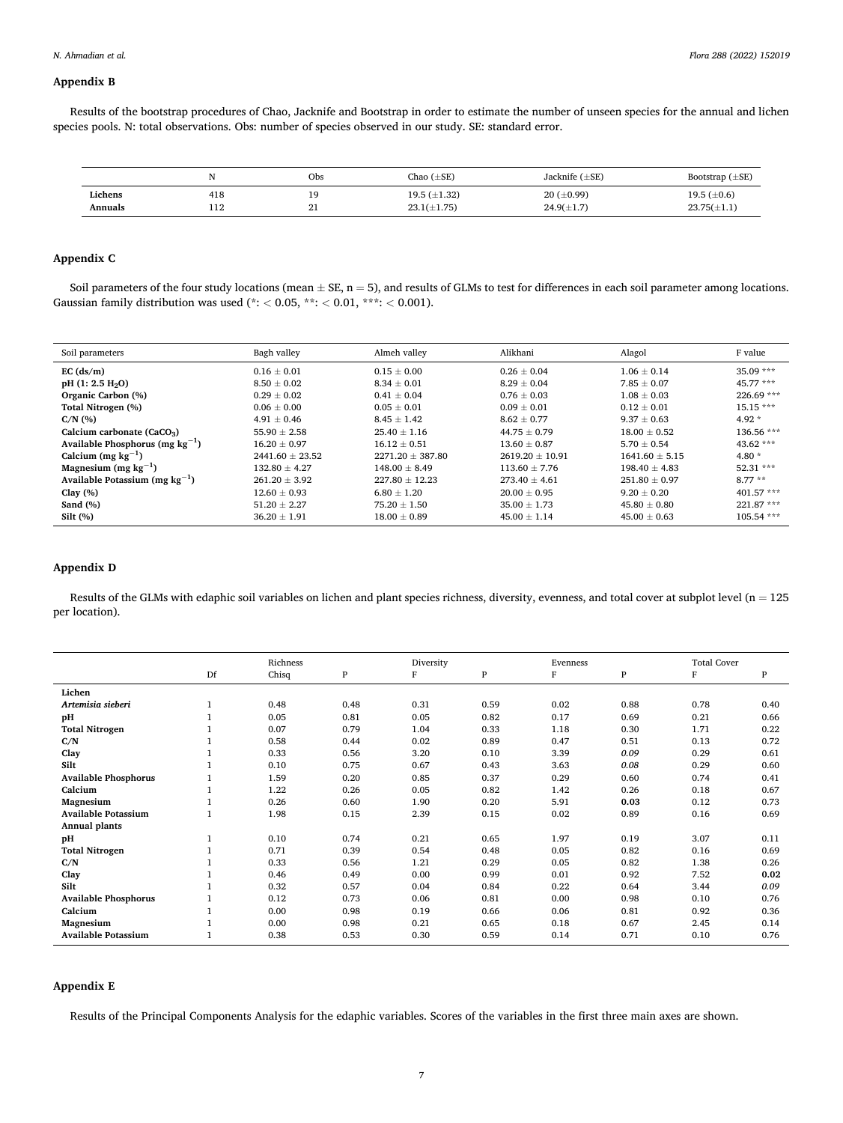## <span id="page-6-0"></span>**Appendix B**

Results of the bootstrap procedures of Chao, Jacknife and Bootstrap in order to estimate the number of unseen species for the annual and lichen species pools. N: total observations. Obs: number of species observed in our study. SE: standard error.

|                    |            | Obs                   | Chao $(\pm SE)$                       | Jacknife $(\pm SE)$                | Bootstrap $(\pm SE)$                 |
|--------------------|------------|-----------------------|---------------------------------------|------------------------------------|--------------------------------------|
| Lichens<br>Annuals | 418<br>114 | 19<br>$^{\circ}$<br>- | 19.5 $(\pm 1.32)$<br>$23.1(\pm 1.75)$ | $20 (\pm 0.99)$<br>$24.9(\pm 1.7)$ | 19.5 $(\pm 0.6)$<br>$23.75(\pm 1.1)$ |

## **Appendix C**

Soil parameters of the four study locations (mean  $\pm$  SE, n = 5), and results of GLMs to test for differences in each soil parameter among locations. Gaussian family distribution was used (\*: *<* 0.05, \*\*: *<* 0.01, \*\*\*: *<* 0.001).

| Soil parameters                      | Bagh valley         | Almeh valley         | Alikhani            | Alagol             | F value      |
|--------------------------------------|---------------------|----------------------|---------------------|--------------------|--------------|
| EC $(ds/m)$                          | $0.16 \pm 0.01$     | $0.15 + 0.00$        | $0.26 \pm 0.04$     | $1.06 \pm 0.14$    | $35.09***$   |
| $pH$ (1: 2.5 H <sub>2</sub> O)       | $8.50 \pm 0.02$     | $8.34 \pm 0.01$      | $8.29 \pm 0.04$     | $7.85 \pm 0.07$    | $45.77***$   |
| Organic Carbon (%)                   | $0.29 \pm 0.02$     | $0.41 \pm 0.04$      | $0.76 \pm 0.03$     | $1.08 \pm 0.03$    | $226.69$ *** |
| Total Nitrogen (%)                   | $0.06 \pm 0.00$     | $0.05 \pm 0.01$      | $0.09 \pm 0.01$     | $0.12 \pm 0.01$    | $15.15***$   |
| $C/N$ (%)                            | $4.91 \pm 0.46$     | $8.45 \pm 1.42$      | $8.62 \pm 0.77$     | $9.37 \pm 0.63$    | $4.92*$      |
| Calcium carbonate $(CaCO3)$          | $55.90 \pm 2.58$    | $25.40 \pm 1.16$     | $44.75 \pm 0.79$    | $18.00 \pm 0.52$   | 136.56 ***   |
| Available Phosphorus (mg $kg^{-1}$ ) | $16.20 \pm 0.97$    | $16.12 \pm 0.51$     | $13.60 \pm 0.87$    | $5.70 \pm 0.54$    | $43.62$ ***  |
| Calcium (mg $kg^{-1}$ )              | $2441.60 \pm 23.52$ | $2271.20 \pm 387.80$ | $2619.20 \pm 10.91$ | $1641.60 \pm 5.15$ | $4.80*$      |
| Magnesium (mg $kg^{-1}$ )            | $132.80 + 4.27$     | $148.00 \pm 8.49$    | $113.60 + 7.76$     | $198.40 + 4.83$    | $52.31***$   |
| Available Potassium (mg $kg^{-1}$ )  | $261.20 \pm 3.92$   | $227.80 \pm 12.23$   | $273.40 \pm 4.61$   | $251.80 \pm 0.97$  | $8.77**$     |
| Clay $(\%)$                          | $12.60 \pm 0.93$    | $6.80 \pm 1.20$      | $20.00 \pm 0.95$    | $9.20 \pm 0.20$    | $401.57***$  |
| Sand $(\%)$                          | $51.20 \pm 2.27$    | $75.20 \pm 1.50$     | $35.00 \pm 1.73$    | $45.80 \pm 0.80$   | $221.87***$  |
| Silt(%)                              | $36.20 \pm 1.91$    | $18.00 \pm 0.89$     | $45.00 \pm 1.14$    | $45.00 \pm 0.63$   | $105.54***$  |

## **Appendix D**

Results of the GLMs with edaphic soil variables on lichen and plant species richness, diversity, evenness, and total cover at subplot level (n = 125 per location).

|                             |    | Richness |      | Diversity |      | Evenness |      | <b>Total Cover</b> |      |
|-----------------------------|----|----------|------|-----------|------|----------|------|--------------------|------|
|                             | Df | Chisq    | P    | F         | P    | $\rm F$  | P    | F                  | P    |
| Lichen                      |    |          |      |           |      |          |      |                    |      |
| Artemisia sieberi           |    | 0.48     | 0.48 | 0.31      | 0.59 | 0.02     | 0.88 | 0.78               | 0.40 |
| рH                          |    | 0.05     | 0.81 | 0.05      | 0.82 | 0.17     | 0.69 | 0.21               | 0.66 |
| <b>Total Nitrogen</b>       |    | 0.07     | 0.79 | 1.04      | 0.33 | 1.18     | 0.30 | 1.71               | 0.22 |
| C/N                         |    | 0.58     | 0.44 | 0.02      | 0.89 | 0.47     | 0.51 | 0.13               | 0.72 |
| Clay                        |    | 0.33     | 0.56 | 3.20      | 0.10 | 3.39     | 0.09 | 0.29               | 0.61 |
| Silt                        |    | 0.10     | 0.75 | 0.67      | 0.43 | 3.63     | 0.08 | 0.29               | 0.60 |
| <b>Available Phosphorus</b> |    | 1.59     | 0.20 | 0.85      | 0.37 | 0.29     | 0.60 | 0.74               | 0.41 |
| Calcium                     |    | 1.22     | 0.26 | 0.05      | 0.82 | 1.42     | 0.26 | 0.18               | 0.67 |
| Magnesium                   |    | 0.26     | 0.60 | 1.90      | 0.20 | 5.91     | 0.03 | 0.12               | 0.73 |
| <b>Available Potassium</b>  |    | 1.98     | 0.15 | 2.39      | 0.15 | 0.02     | 0.89 | 0.16               | 0.69 |
| Annual plants               |    |          |      |           |      |          |      |                    |      |
| pH                          |    | 0.10     | 0.74 | 0.21      | 0.65 | 1.97     | 0.19 | 3.07               | 0.11 |
| <b>Total Nitrogen</b>       |    | 0.71     | 0.39 | 0.54      | 0.48 | 0.05     | 0.82 | 0.16               | 0.69 |
| C/N                         |    | 0.33     | 0.56 | 1.21      | 0.29 | 0.05     | 0.82 | 1.38               | 0.26 |
| Clay                        |    | 0.46     | 0.49 | 0.00      | 0.99 | 0.01     | 0.92 | 7.52               | 0.02 |
| Silt                        |    | 0.32     | 0.57 | 0.04      | 0.84 | 0.22     | 0.64 | 3.44               | 0.09 |
| <b>Available Phosphorus</b> |    | 0.12     | 0.73 | 0.06      | 0.81 | 0.00     | 0.98 | 0.10               | 0.76 |
| Calcium                     |    | 0.00     | 0.98 | 0.19      | 0.66 | 0.06     | 0.81 | 0.92               | 0.36 |
| Magnesium                   |    | 0.00     | 0.98 | 0.21      | 0.65 | 0.18     | 0.67 | 2.45               | 0.14 |
| <b>Available Potassium</b>  |    | 0.38     | 0.53 | 0.30      | 0.59 | 0.14     | 0.71 | 0.10               | 0.76 |

## **Appendix E**

Results of the Principal Components Analysis for the edaphic variables. Scores of the variables in the first three main axes are shown.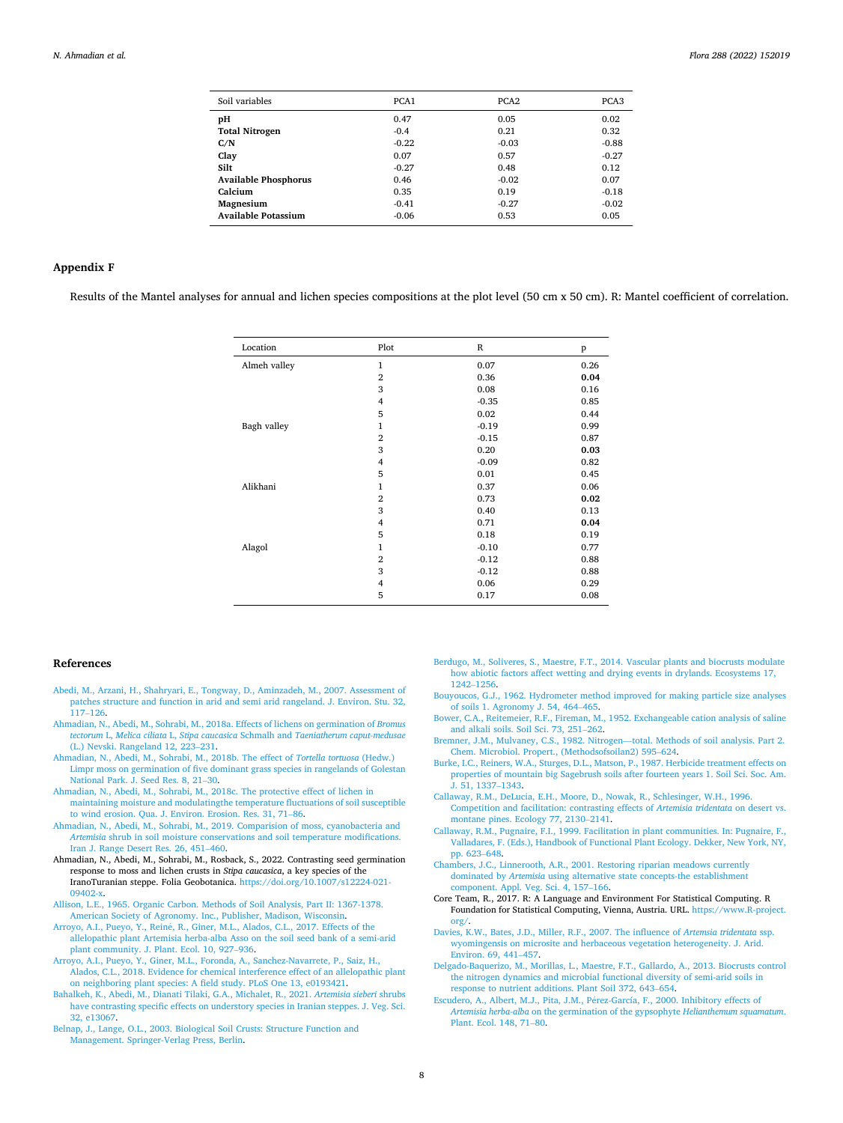<span id="page-7-0"></span>

| Soil variables              | PCA1    | PCA <sub>2</sub> | PCA <sub>3</sub> |
|-----------------------------|---------|------------------|------------------|
| pH                          | 0.47    | 0.05             | 0.02             |
| <b>Total Nitrogen</b>       | $-0.4$  | 0.21             | 0.32             |
| C/N                         | $-0.22$ | $-0.03$          | $-0.88$          |
| Clay                        | 0.07    | 0.57             | $-0.27$          |
| Silt                        | $-0.27$ | 0.48             | 0.12             |
| <b>Available Phosphorus</b> | 0.46    | $-0.02$          | 0.07             |
| Calcium                     | 0.35    | 0.19             | $-0.18$          |
| Magnesium                   | $-0.41$ | $-0.27$          | $-0.02$          |
| <b>Available Potassium</b>  | $-0.06$ | 0.53             | 0.05             |

## **Appendix F**

Results of the Mantel analyses for annual and lichen species compositions at the plot level (50 cm x 50 cm). R: Mantel coefficient of correlation.

| Location     | Plot           | $\mathbb R$ | p    |
|--------------|----------------|-------------|------|
| Almeh valley | $\mathbf{1}$   | 0.07        | 0.26 |
|              | $\overline{2}$ | 0.36        | 0.04 |
|              | 3              | 0.08        | 0.16 |
|              | 4              | $-0.35$     | 0.85 |
|              | 5              | 0.02        | 0.44 |
| Bagh valley  | $\mathbf{1}$   | $-0.19$     | 0.99 |
|              | $\overline{2}$ | $-0.15$     | 0.87 |
|              | 3              | 0.20        | 0.03 |
|              | $\overline{4}$ | $-0.09$     | 0.82 |
|              | 5              | 0.01        | 0.45 |
| Alikhani     | $\mathbf{1}$   | 0.37        | 0.06 |
|              | $\overline{2}$ | 0.73        | 0.02 |
|              | 3              | 0.40        | 0.13 |
|              | 4              | 0.71        | 0.04 |
|              | 5              | 0.18        | 0.19 |
| Alagol       | $\mathbf{1}$   | $-0.10$     | 0.77 |
|              | $\overline{2}$ | $-0.12$     | 0.88 |
|              | 3              | $-0.12$     | 0.88 |
|              | $\overline{4}$ | 0.06        | 0.29 |
|              | 5              | 0.17        | 0.08 |

#### **References**

- [Abedi, M., Arzani, H., Shahryari, E., Tongway, D., Aminzadeh, M., 2007. Assessment of](http://refhub.elsevier.com/S0367-2530(22)00016-0/sbref0001)  [patches structure and function in arid and semi arid rangeland. J. Environ. Stu. 32,](http://refhub.elsevier.com/S0367-2530(22)00016-0/sbref0001)  117–[126](http://refhub.elsevier.com/S0367-2530(22)00016-0/sbref0001).
- [Ahmadian, N., Abedi, M., Sohrabi, M., 2018a. Effects of lichens on germination of](http://refhub.elsevier.com/S0367-2530(22)00016-0/sbref0002) *Bromus tectorum* L, *Melica ciliata* L, *Stipa caucasica* Schmalh and *[Taeniatherum caput-medusae](http://refhub.elsevier.com/S0367-2530(22)00016-0/sbref0002)*  [\(L.\) Nevski. Rangeland 12, 223](http://refhub.elsevier.com/S0367-2530(22)00016-0/sbref0002)–231.
- [Ahmadian, N., Abedi, M., Sohrabi, M., 2018b. The effect of](http://refhub.elsevier.com/S0367-2530(22)00016-0/sbref0003) *Tortella tortuosa* (Hedw.) [Limpr moss on germination of five dominant grass species in rangelands of Golestan](http://refhub.elsevier.com/S0367-2530(22)00016-0/sbref0003)  [National Park. J. Seed Res. 8, 21](http://refhub.elsevier.com/S0367-2530(22)00016-0/sbref0003)–30.
- [Ahmadian, N., Abedi, M., Sohrabi, M., 2018c. The protective effect of lichen in](http://refhub.elsevier.com/S0367-2530(22)00016-0/sbref0004) [maintaining moisture and modulatingthe temperature fluctuations of soil susceptible](http://refhub.elsevier.com/S0367-2530(22)00016-0/sbref0004)  [to wind erosion. Qua. J. Environ. Erosion. Res. 31, 71](http://refhub.elsevier.com/S0367-2530(22)00016-0/sbref0004)–86.
- [Ahmadian, N., Abedi, M., Sohrabi, M., 2019. Comparision of moss, cyanobacteria and](http://refhub.elsevier.com/S0367-2530(22)00016-0/sbref0005)  *Artemisia* [shrub in soil moisture conservations and soil temperature modifications.](http://refhub.elsevier.com/S0367-2530(22)00016-0/sbref0005)  [Iran J. Range Desert Res. 26, 451](http://refhub.elsevier.com/S0367-2530(22)00016-0/sbref0005)–460.
- Ahmadian, N., Abedi, M., Sohrabi, M., Rosback, S., 2022. Contrasting seed germination response to moss and lichen crusts in *Stipa caucasica*, a key species of the IranoTuranian steppe. Folia Geobotanica. [https://doi.org/10.1007/s12224-021-](https://doi.org/10.1007/s12224-021-09402-x)  09402-y
- [Allison, L.E., 1965. Organic Carbon. Methods of Soil Analysis, Part II: 1367-1378.](http://refhub.elsevier.com/S0367-2530(22)00016-0/sbref0007) [American Society of Agronomy. Inc., Publisher, Madison, Wisconsin.](http://refhub.elsevier.com/S0367-2530(22)00016-0/sbref0007)
- Arroyo, A.I., Pueyo, Y., Reiné, R., Giner, M.L., Alados, C.L., 2017. Effects of the [allelopathic plant Artemisia herba-alba Asso on the soil seed bank of a semi-arid](http://refhub.elsevier.com/S0367-2530(22)00016-0/sbref0008)  [plant community. J. Plant. Ecol. 10, 927](http://refhub.elsevier.com/S0367-2530(22)00016-0/sbref0008)–936.
- [Arroyo, A.I., Pueyo, Y., Giner, M.L., Foronda, A., Sanchez-Navarrete, P., Saiz, H.,](http://refhub.elsevier.com/S0367-2530(22)00016-0/sbref0009)  [Alados, C.L., 2018. Evidence for chemical interference effect of an allelopathic plant](http://refhub.elsevier.com/S0367-2530(22)00016-0/sbref0009)  [on neighboring plant species: A field study. PLoS One 13, e0193421.](http://refhub.elsevier.com/S0367-2530(22)00016-0/sbref0009)
- [Bahalkeh, K., Abedi, M., Dianati Tilaki, G.A., Michalet, R., 2021.](http://refhub.elsevier.com/S0367-2530(22)00016-0/sbref0010) *Artemisia sieberi* shrubs [have contrasting specific effects on understory species in Iranian steppes. J. Veg. Sci.](http://refhub.elsevier.com/S0367-2530(22)00016-0/sbref0010)  [32, e13067.](http://refhub.elsevier.com/S0367-2530(22)00016-0/sbref0010)
- [Belnap, J., Lange, O.L., 2003. Biological Soil Crusts: Structure Function and](http://refhub.elsevier.com/S0367-2530(22)00016-0/sbref0011)  [Management. Springer-Verlag Press, Berlin.](http://refhub.elsevier.com/S0367-2530(22)00016-0/sbref0011)
- [Berdugo, M., Soliveres, S., Maestre, F.T., 2014. Vascular plants and biocrusts modulate](http://refhub.elsevier.com/S0367-2530(22)00016-0/sbref0012)  [how abiotic factors affect wetting and drying events in drylands. Ecosystems 17,](http://refhub.elsevier.com/S0367-2530(22)00016-0/sbref0012)  [1242](http://refhub.elsevier.com/S0367-2530(22)00016-0/sbref0012)–1256.
- [Bouyoucos, G.J., 1962. Hydrometer method improved for making particle size analyses](http://refhub.elsevier.com/S0367-2530(22)00016-0/sbref0013)  [of soils 1. Agronomy J. 54, 464](http://refhub.elsevier.com/S0367-2530(22)00016-0/sbref0013)–465.
- [Bower, C.A., Reitemeier, R.F., Fireman, M., 1952. Exchangeable cation analysis of saline](http://refhub.elsevier.com/S0367-2530(22)00016-0/sbref0014)  [and alkali soils. Soil Sci. 73, 251](http://refhub.elsevier.com/S0367-2530(22)00016-0/sbref0014)–262.
- [Bremner, J.M., Mulvaney, C.S., 1982. Nitrogen](http://refhub.elsevier.com/S0367-2530(22)00016-0/sbref0015)—total. Methods of soil analysis. Part 2. [Chem. Microbiol. Propert., \(Methodsofsoilan2\) 595](http://refhub.elsevier.com/S0367-2530(22)00016-0/sbref0015)–624.
- [Burke, I.C., Reiners, W.A., Sturges, D.L., Matson, P., 1987. Herbicide treatment effects on](http://refhub.elsevier.com/S0367-2530(22)00016-0/sbref0016)  [properties of mountain big Sagebrush soils after fourteen years 1. Soil Sci. Soc. Am.](http://refhub.elsevier.com/S0367-2530(22)00016-0/sbref0016)  [J. 51, 1337](http://refhub.elsevier.com/S0367-2530(22)00016-0/sbref0016)–1343.
- [Callaway, R.M., DeLucia, E.H., Moore, D., Nowak, R., Schlesinger, W.H., 1996.](http://refhub.elsevier.com/S0367-2530(22)00016-0/sbref0018)  [Competition and facilitation: contrasting effects of](http://refhub.elsevier.com/S0367-2530(22)00016-0/sbref0018) *Artemisia tridentata* on desert vs. [montane pines. Ecology 77, 2130](http://refhub.elsevier.com/S0367-2530(22)00016-0/sbref0018)–2141.
- [Callaway, R.M., Pugnaire, F.I., 1999. Facilitation in plant communities. In: Pugnaire, F.,](http://refhub.elsevier.com/S0367-2530(22)00016-0/sbref0019)  [Valladares, F. \(Eds.\), Handbook of Functional Plant Ecology. Dekker, New York, NY,](http://refhub.elsevier.com/S0367-2530(22)00016-0/sbref0019)  [pp. 623](http://refhub.elsevier.com/S0367-2530(22)00016-0/sbref0019)–648.
- [Chambers, J.C., Linnerooth, A.R., 2001. Restoring riparian meadows currently](http://refhub.elsevier.com/S0367-2530(22)00016-0/sbref0020)  dominated by *Artemisia* [using alternative state concepts-the establishment](http://refhub.elsevier.com/S0367-2530(22)00016-0/sbref0020)  [component. Appl. Veg. Sci. 4, 157](http://refhub.elsevier.com/S0367-2530(22)00016-0/sbref0020)–166.
- Core Team, R., 2017. R: A Language and Environment For Statistical Computing. R Foundation for Statistical Computing, Vienna, Austria. URL. [https://www.R-project.](https://www.R-project.org/)  [org/.](https://www.R-project.org/)
- [Davies, K.W., Bates, J.D., Miller, R.F., 2007. The influence of](http://refhub.elsevier.com/S0367-2530(22)00016-0/sbref0022) *Artemsia tridentata* ssp. [wyomingensis on microsite and herbaceous vegetation heterogeneity. J. Arid.](http://refhub.elsevier.com/S0367-2530(22)00016-0/sbref0022)  [Environ. 69, 441](http://refhub.elsevier.com/S0367-2530(22)00016-0/sbref0022)–457.
- [Delgado-Baquerizo, M., Morillas, L., Maestre, F.T., Gallardo, A., 2013. Biocrusts control](http://refhub.elsevier.com/S0367-2530(22)00016-0/sbref0023)  [the nitrogen dynamics and microbial functional diversity of semi-arid soils in](http://refhub.elsevier.com/S0367-2530(22)00016-0/sbref0023) [response to nutrient additions. Plant Soil 372, 643](http://refhub.elsevier.com/S0367-2530(22)00016-0/sbref0023)–654.
- Escudero, A., Albert, M.J., Pita, J.M., Pérez-García, F., 2000. Inhibitory effects of *Artemisia herba-alba* [on the germination of the gypsophyte](http://refhub.elsevier.com/S0367-2530(22)00016-0/sbref0024) *Helianthemum squamatum*. [Plant. Ecol. 148, 71](http://refhub.elsevier.com/S0367-2530(22)00016-0/sbref0024)–80.